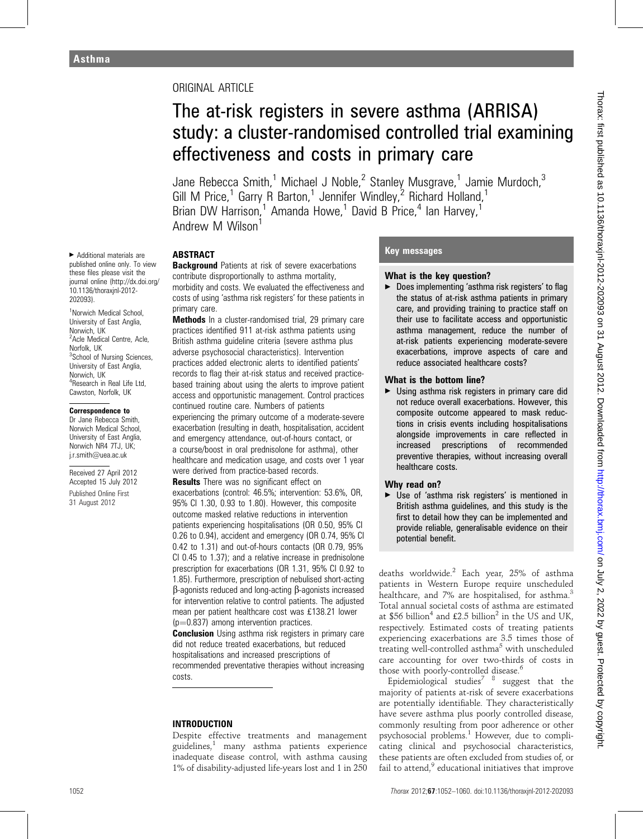< Additional materials are published online only. To view these files please visit the journal online (http://dx.doi.org/ 10.1136/thoraxjnl-2012-

<sup>1</sup>Norwich Medical School, University of East Anglia,

<sup>2</sup> Acle Medical Centre, Acle,

<sup>3</sup>School of Nursing Sciences, University of East Anglia, Norwich, UK

4 Research in Real Life Ltd, Cawston, Norfolk, UK Correspondence to Dr Jane Rebecca Smith, Norwich Medical School, University of East Anglia, Norwich NR4 7TJ, UK; j.r.smith@uea.ac.uk Received 27 April 2012 Accepted 15 July 2012

Published Online First 31 August 2012

202093).

Norwich, UK

Norfolk, UK

# ORIGINAL ARTICLE

# The at-risk registers in severe asthma (ARRISA) study: a cluster-randomised controlled trial examining effectiveness and costs in primary care

Jane Rebecca Smith,<sup>1</sup> Michael J Noble,<sup>2</sup> Stanley Musgrave,<sup>1</sup> Jamie Murdoch,<sup>3</sup> Gill M Price,<sup>1</sup> Garry R Barton,<sup>1</sup> Jennifer Windley,<sup>2</sup> Richard Holland,<sup>1</sup> Brian DW Harrison,<sup>1</sup> Amanda Howe,<sup>1</sup> David B Price,<sup>4</sup> Ian Harvey,<sup>1</sup> Andrew M Wilson<sup>1</sup>

# ABSTRACT

**Background** Patients at risk of severe exacerbations contribute disproportionally to asthma mortality, morbidity and costs. We evaluated the effectiveness and costs of using 'asthma risk registers' for these patients in primary care.

**Methods** In a cluster-randomised trial, 29 primary care practices identified 911 at-risk asthma patients using British asthma guideline criteria (severe asthma plus adverse psychosocial characteristics). Intervention practices added electronic alerts to identified patients' records to flag their at-risk status and received practicebased training about using the alerts to improve patient access and opportunistic management. Control practices continued routine care. Numbers of patients experiencing the primary outcome of a moderate-severe exacerbation (resulting in death, hospitalisation, accident and emergency attendance, out-of-hours contact, or a course/boost in oral prednisolone for asthma), other healthcare and medication usage, and costs over 1 year were derived from practice-based records.

**Results** There was no significant effect on exacerbations (control: 46.5%; intervention: 53.6%, OR, 95% CI 1.30, 0.93 to 1.80). However, this composite outcome masked relative reductions in intervention patients experiencing hospitalisations (OR 0.50, 95% CI 0.26 to 0.94), accident and emergency (OR 0.74, 95% CI 0.42 to 1.31) and out-of-hours contacts (OR 0.79, 95% CI 0.45 to 1.37); and a relative increase in prednisolone prescription for exacerbations (OR 1.31, 95% CI 0.92 to 1.85). Furthermore, prescription of nebulised short-acting  $\beta$ -agonists reduced and long-acting  $\beta$ -agonists increased for intervention relative to control patients. The adjusted mean per patient healthcare cost was £138.21 lower  $(p=0.837)$  among intervention practices.

**Conclusion** Using asthma risk registers in primary care did not reduce treated exacerbations, but reduced hospitalisations and increased prescriptions of recommended preventative therapies without increasing costs.

# INTRODUCTION

Despite effective treatments and management guidelines,<sup>1</sup> many asthma patients experience inadequate disease control, with asthma causing 1% of disability-adjusted life-years lost and 1 in 250

# Key messages

# What is the key question?

 $\blacktriangleright$  Does implementing 'asthma risk registers' to flag the status of at-risk asthma patients in primary care, and providing training to practice staff on their use to facilitate access and opportunistic asthma management, reduce the number of at-risk patients experiencing moderate-severe exacerbations, improve aspects of care and reduce associated healthcare costs?

# What is the bottom line?

▶ Using asthma risk registers in primary care did not reduce overall exacerbations. However, this composite outcome appeared to mask reductions in crisis events including hospitalisations alongside improvements in care reflected in increased prescriptions of recommended preventive therapies, without increasing overall healthcare costs.

# Why read on?

▶ Use of 'asthma risk registers' is mentioned in British asthma guidelines, and this study is the first to detail how they can be implemented and provide reliable, generalisable evidence on their potential benefit.

deaths worldwide.<sup>2</sup> Each year, 25% of asthma patients in Western Europe require unscheduled healthcare, and 7% are hospitalised, for asthma.<sup>3</sup> Total annual societal costs of asthma are estimated at \$56 billion<sup>4</sup> and £2.5 billion<sup>2</sup> in the US and UK, respectively. Estimated costs of treating patients experiencing exacerbations are 3.5 times those of treating well-controlled asthma<sup>5</sup> with unscheduled care accounting for over two-thirds of costs in those with poorly-controlled disease.<sup>6</sup>

Epidemiological studies<sup>7</sup>  $8$  suggest that the majority of patients at-risk of severe exacerbations are potentially identifiable. They characteristically have severe asthma plus poorly controlled disease, commonly resulting from poor adherence or other psychosocial problems.<sup>1</sup> However, due to complicating clinical and psychosocial characteristics, these patients are often excluded from studies of, or fail to attend, $9$  educational initiatives that improve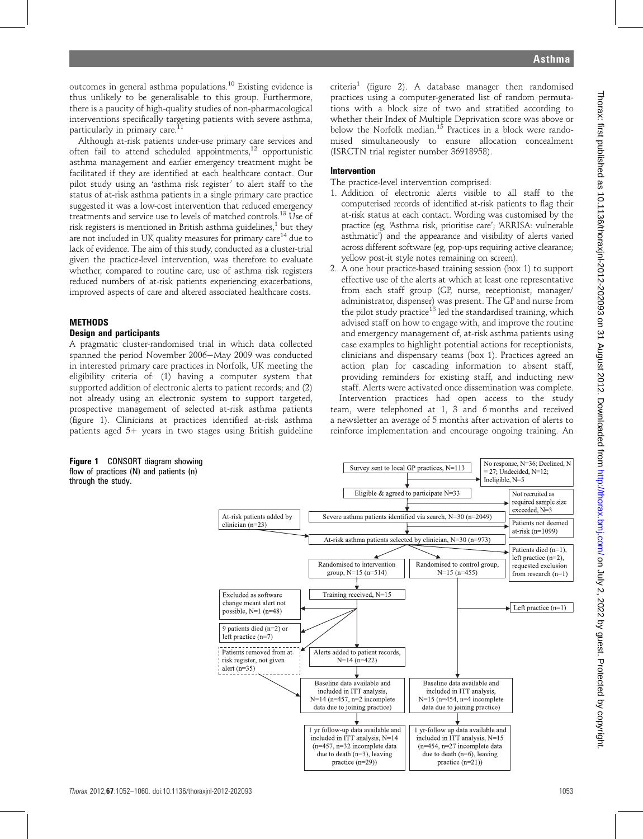outcomes in general asthma populations.<sup>10</sup> Existing evidence is thus unlikely to be generalisable to this group. Furthermore, there is a paucity of high-quality studies of non-pharmacological interventions specifically targeting patients with severe asthma, particularly in primary care.<sup>1</sup>

Although at-risk patients under-use primary care services and often fail to attend scheduled appointments, $12$  opportunistic asthma management and earlier emergency treatment might be facilitated if they are identified at each healthcare contact. Our pilot study using an 'asthma risk register' to alert staff to the status of at-risk asthma patients in a single primary care practice suggested it was a low-cost intervention that reduced emergency treatments and service use to levels of matched controls.13 Use of risk registers is mentioned in British asthma guidelines, $1$  but they are not included in UK quality measures for primary care<sup>14</sup> due to lack of evidence. The aim of this study, conducted as a cluster-trial given the practice-level intervention, was therefore to evaluate whether, compared to routine care, use of asthma risk registers reduced numbers of at-risk patients experiencing exacerbations, improved aspects of care and altered associated healthcare costs.

#### **METHODS**

#### Design and participants

A pragmatic cluster-randomised trial in which data collected spanned the period November 2006-May 2009 was conducted in interested primary care practices in Norfolk, UK meeting the eligibility criteria of: (1) having a computer system that supported addition of electronic alerts to patient records; and (2) not already using an electronic system to support targeted, prospective management of selected at-risk asthma patients (figure 1). Clinicians at practices identified at-risk asthma patients aged 5+ years in two stages using British guideline

 $criterion<sup>1</sup>$  (figure 2). A database manager then randomised practices using a computer-generated list of random permutations with a block size of two and stratified according to whether their Index of Multiple Deprivation score was above or below the Norfolk median.<sup>15</sup> Practices in a block were randomised simultaneously to ensure allocation concealment (ISRCTN trial register number 36918958).

## Intervention

The practice-level intervention comprised:

- 1. Addition of electronic alerts visible to all staff to the computerised records of identified at-risk patients to flag their at-risk status at each contact. Wording was customised by the practice (eg, 'Asthma risk, prioritise care'; 'ARRISA: vulnerable asthmatic') and the appearance and visibility of alerts varied across different software (eg, pop-ups requiring active clearance; yellow post-it style notes remaining on screen).
- 2. A one hour practice-based training session (box 1) to support effective use of the alerts at which at least one representative from each staff group (GP, nurse, receptionist, manager/ administrator, dispenser) was present. The GP and nurse from the pilot study practice<sup>13</sup> led the standardised training, which advised staff on how to engage with, and improve the routine and emergency management of, at-risk asthma patients using case examples to highlight potential actions for receptionists, clinicians and dispensary teams (box 1). Practices agreed an action plan for cascading information to absent staff, providing reminders for existing staff, and inducting new staff. Alerts were activated once dissemination was complete.

Intervention practices had open access to the study team, were telephoned at 1, 3 and 6 months and received a newsletter an average of 5 months after activation of alerts to reinforce implementation and encourage ongoing training. An

Figure 1 CONSORT diagram showing flow of practices (N) and patients (n) through the study.

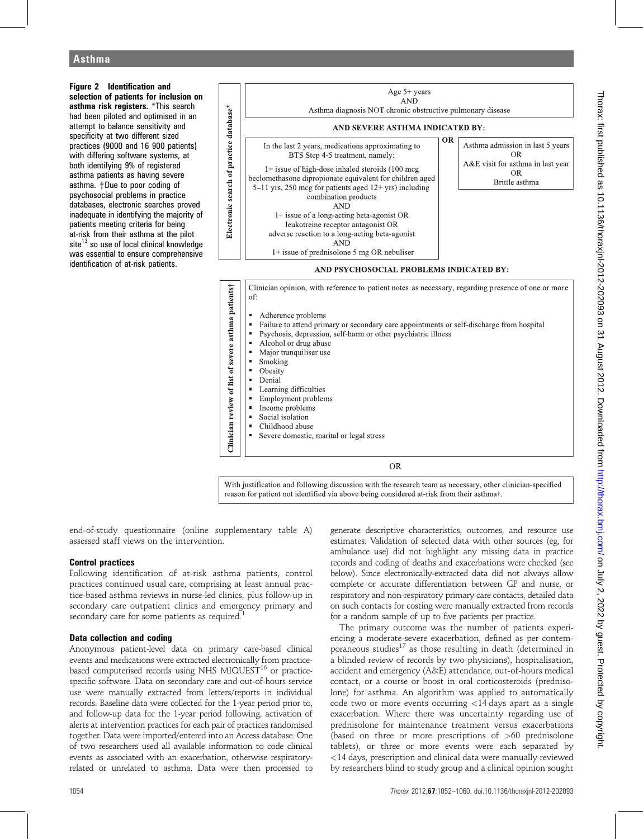Figure 2 Identification and selection of patients for inclusion on asthma risk registers. \*This search had been piloted and optimised in an attempt to balance sensitivity and specificity at two different sized practices (9000 and 16 900 patients) with differing software systems, at both identifying 9% of registered asthma patients as having severe asthma. +Due to poor coding of psychosocial problems in practice databases, electronic searches proved inadequate in identifying the majority of patients meeting criteria for being at-risk from their asthma at the pilot site $^{13}$  so use of local clinical knowledge was essential to ensure comprehensive identification of at-risk patients.



With justification and following discussion with the research team as necessary, other clinician-specified reason for patient not identified via above being considered at-risk from their asthma†.

end-of-study questionnaire (online supplementary table A) assessed staff views on the intervention.

#### Control practices

Following identification of at-risk asthma patients, control practices continued usual care, comprising at least annual practice-based asthma reviews in nurse-led clinics, plus follow-up in secondary care outpatient clinics and emergency primary and secondary care for some patients as required.<sup>1</sup>

#### Data collection and coding

Anonymous patient-level data on primary care-based clinical events and medications were extracted electronically from practicebased computerised records using NHS MIQUEST $^{16}$  or practicespecific software. Data on secondary care and out-of-hours service use were manually extracted from letters/reports in individual records. Baseline data were collected for the 1-year period prior to, and follow-up data for the 1-year period following, activation of alerts at intervention practices for each pair of practices randomised together. Data were imported/entered into an Access database. One of two researchers used all available information to code clinical events as associated with an exacerbation, otherwise respiratoryrelated or unrelated to asthma. Data were then processed to generate descriptive characteristics, outcomes, and resource use estimates. Validation of selected data with other sources (eg, for ambulance use) did not highlight any missing data in practice records and coding of deaths and exacerbations were checked (see below). Since electronically-extracted data did not always allow complete or accurate differentiation between GP and nurse, or respiratory and non-respiratory primary care contacts, detailed data on such contacts for costing were manually extracted from records for a random sample of up to five patients per practice.

The primary outcome was the number of patients experiencing a moderate-severe exacerbation, defined as per contemporaneous studies<sup>17</sup> as those resulting in death (determined in a blinded review of records by two physicians), hospitalisation, accident and emergency (A&E) attendance, out-of-hours medical contact, or a course or boost in oral corticosteroids (prednisolone) for asthma. An algorithm was applied to automatically code two or more events occurring <14 days apart as a single exacerbation. Where there was uncertainty regarding use of prednisolone for maintenance treatment versus exacerbations (based on three or more prescriptions of  $>60$  prednisolone tablets), or three or more events were each separated by <14 days, prescription and clinical data were manually reviewed by researchers blind to study group and a clinical opinion sought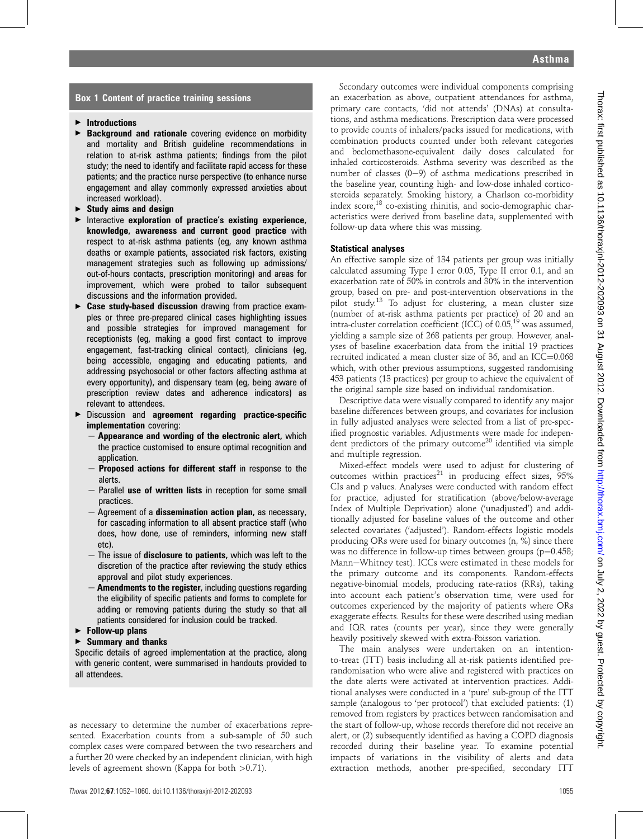# Box 1 Content of practice training sessions

- $\blacktriangleright$  Introductions
- ▶ Background and rationale covering evidence on morbidity and mortality and British guideline recommendations in relation to at-risk asthma patients; findings from the pilot study; the need to identify and facilitate rapid access for these patients; and the practice nurse perspective (to enhance nurse engagement and allay commonly expressed anxieties about increased workload).
- $\triangleright$  Study aims and design
- $\blacktriangleright$  Interactive exploration of practice's existing experience, knowledge, awareness and current good practice with respect to at-risk asthma patients (eg, any known asthma deaths or example patients, associated risk factors, existing management strategies such as following up admissions/ out-of-hours contacts, prescription monitoring) and areas for improvement, which were probed to tailor subsequent discussions and the information provided.
- $\triangleright$  Case study-based discussion drawing from practice examples or three pre-prepared clinical cases highlighting issues and possible strategies for improved management for receptionists (eg, making a good first contact to improve engagement, fast-tracking clinical contact), clinicians (eg, being accessible, engaging and educating patients, and addressing psychosocial or other factors affecting asthma at every opportunity), and dispensary team (eg, being aware of prescription review dates and adherence indicators) as relevant to attendees.
- $\triangleright$  Discussion and agreement regarding practice-specific implementation covering:
	- $-$  Appearance and wording of the electronic alert, which the practice customised to ensure optimal recognition and application.
	- Proposed actions for different staff in response to the alerts.
	- Parallel use of written lists in reception for some small practices.
	- $-$  Agreement of a dissemination action plan, as necessary, for cascading information to all absent practice staff (who does, how done, use of reminders, informing new staff etc).
	- $-$  The issue of **disclosure to patients**, which was left to the discretion of the practice after reviewing the study ethics approval and pilot study experiences.
	- Amendments to the register, including questions regarding the eligibility of specific patients and forms to complete for adding or removing patients during the study so that all patients considered for inclusion could be tracked.
- $\blacktriangleright$  Follow-up plans
- $\blacktriangleright$  Summary and thanks

Specific details of agreed implementation at the practice, along with generic content, were summarised in handouts provided to all attendees.

as necessary to determine the number of exacerbations represented. Exacerbation counts from a sub-sample of 50 such complex cases were compared between the two researchers and a further 20 were checked by an independent clinician, with high levels of agreement shown (Kappa for both  $>0.71$ ).

Secondary outcomes were individual components comprising an exacerbation as above, outpatient attendances for asthma, primary care contacts, 'did not attends' (DNAs) at consultations, and asthma medications. Prescription data were processed to provide counts of inhalers/packs issued for medications, with combination products counted under both relevant categories and beclomethasone-equivalent daily doses calculated for inhaled corticosteroids. Asthma severity was described as the number of classes  $(0-9)$  of asthma medications prescribed in the baseline year, counting high- and low-dose inhaled corticosteroids separately. Smoking history, a Charlson co-morbidity index score,18 co-existing rhinitis, and socio-demographic characteristics were derived from baseline data, supplemented with follow-up data where this was missing.

## Statistical analyses

An effective sample size of 134 patients per group was initially calculated assuming Type I error 0.05, Type II error 0.1, and an exacerbation rate of 50% in controls and 30% in the intervention group, based on pre- and post-intervention observations in the pilot study.13 To adjust for clustering, a mean cluster size (number of at-risk asthma patients per practice) of 20 and an intra-cluster correlation coefficient (ICC) of 0.05,  $^{\rm 19}$  was assumed, yielding a sample size of 268 patients per group. However, analyses of baseline exacerbation data from the initial 19 practices recruited indicated a mean cluster size of  $36$ , and an ICC=0.068 which, with other previous assumptions, suggested randomising 453 patients (13 practices) per group to achieve the equivalent of the original sample size based on individual randomisation.

Descriptive data were visually compared to identify any major baseline differences between groups, and covariates for inclusion in fully adjusted analyses were selected from a list of pre-specified prognostic variables. Adjustments were made for independent predictors of the primary outcome<sup>20</sup> identified via simple and multiple regression.

Mixed-effect models were used to adjust for clustering of outcomes within practices<sup>21</sup> in producing effect sizes,  $95\%$ CIs and p values. Analyses were conducted with random effect for practice, adjusted for stratification (above/below-average Index of Multiple Deprivation) alone ('unadjusted') and additionally adjusted for baseline values of the outcome and other selected covariates ('adjusted'). Random-effects logistic models producing ORs were used for binary outcomes (n, %) since there was no difference in follow-up times between groups ( $p=0.458$ ; Mann-Whitney test). ICCs were estimated in these models for the primary outcome and its components. Random-effects negative-binomial models, producing rate-ratios (RRs), taking into account each patient's observation time, were used for outcomes experienced by the majority of patients where ORs exaggerate effects. Results for these were described using median and IQR rates (counts per year), since they were generally heavily positively skewed with extra-Poisson variation.

The main analyses were undertaken on an intentionto-treat (ITT) basis including all at-risk patients identified prerandomisation who were alive and registered with practices on the date alerts were activated at intervention practices. Additional analyses were conducted in a 'pure' sub-group of the ITT sample (analogous to 'per protocol') that excluded patients: (1) removed from registers by practices between randomisation and the start of follow-up, whose records therefore did not receive an alert, or (2) subsequently identified as having a COPD diagnosis recorded during their baseline year. To examine potential impacts of variations in the visibility of alerts and data extraction methods, another pre-specified, secondary ITT

Thorax 2012;67:1052–1060. doi:10.1136/thoraxjnl-2012-202093 1055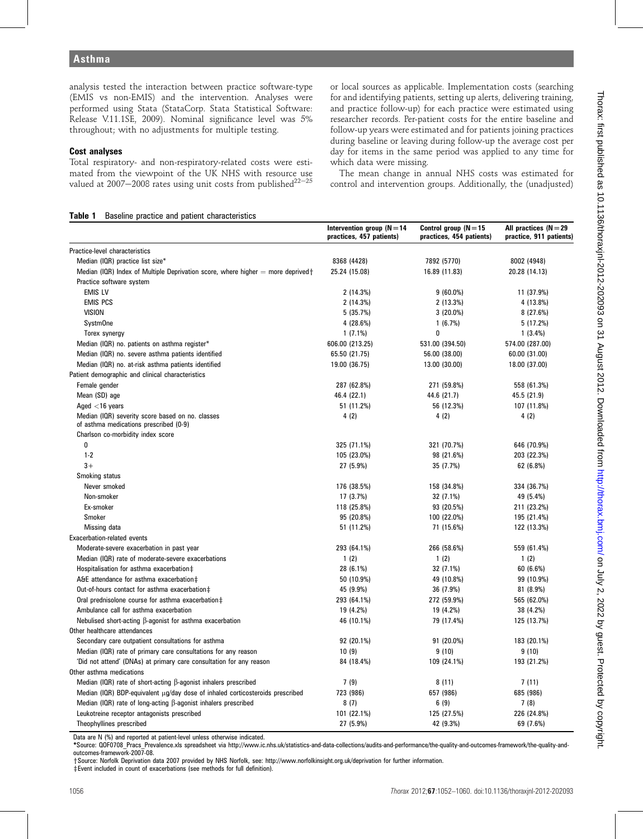analysis tested the interaction between practice software-type (EMIS vs non-EMIS) and the intervention. Analyses were performed using Stata (StataCorp. Stata Statistical Software: Release V.11.1SE, 2009). Nominal significance level was 5% throughout; with no adjustments for multiple testing.

## Cost analyses

Total respiratory- and non-respiratory-related costs were estimated from the viewpoint of the UK NHS with resource use valued at 2007 $-$ 2008 rates using unit costs from published<sup>22-25</sup>

or local sources as applicable. Implementation costs (searching for and identifying patients, setting up alerts, delivering training, and practice follow-up) for each practice were estimated using researcher records. Per-patient costs for the entire baseline and follow-up years were estimated and for patients joining practices during baseline or leaving during follow-up the average cost per day for items in the same period was applied to any time for which data were missing.

The mean change in annual NHS costs was estimated for control and intervention groups. Additionally, the (unadjusted)

#### Table 1 Baseline practice and patient characteristics

|                                                                                            | Intervention group ( $N = 14$<br>practices, 457 patients) | Control group ( $N = 15$<br>practices, 454 patients) | All practices $(N = 29)$<br>practice, 911 patients |
|--------------------------------------------------------------------------------------------|-----------------------------------------------------------|------------------------------------------------------|----------------------------------------------------|
| Practice-level characteristics                                                             |                                                           |                                                      |                                                    |
| Median (IQR) practice list size*                                                           | 8368 (4428)                                               | 7892 (5770)                                          | 8002 (4948)                                        |
| Median (IQR) Index of Multiple Deprivation score, where higher $=$ more deprived $\dagger$ | 25.24 (15.08)                                             | 16.89 (11.83)                                        | 20.28 (14.13)                                      |
| Practice software system                                                                   |                                                           |                                                      |                                                    |
| <b>EMIS LV</b>                                                                             | 2(14.3%)                                                  | $9(60.0\%)$                                          | 11 (37.9%)                                         |
| <b>EMIS PCS</b>                                                                            | 2(14.3%)                                                  | 2(13.3%)                                             | 4 (13.8%)                                          |
| <b>VISION</b>                                                                              | 5(35.7%)                                                  | $3(20.0\%)$                                          | 8(27.6%)                                           |
| <b>SystmOne</b>                                                                            | 4(28.6%)                                                  | 1(6.7%)                                              | 5(17.2%)                                           |
| Torex synergy                                                                              | $1(7.1\%)$                                                | 0                                                    | $1(3.4\%)$                                         |
| Median (IQR) no. patients on asthma register*                                              | 606.00 (213.25)                                           | 531.00 (394.50)                                      | 574.00 (287.00)                                    |
| Median (IQR) no. severe asthma patients identified                                         | 65.50 (21.75)                                             | 56.00 (38.00)                                        | 60.00 (31.00)                                      |
| Median (IQR) no. at-risk asthma patients identified                                        | 19.00 (36.75)                                             | 13.00 (30.00)                                        | 18.00 (37.00)                                      |
| Patient demographic and clinical characteristics                                           |                                                           |                                                      |                                                    |
| Female gender                                                                              | 287 (62.8%)                                               | 271 (59.8%)                                          | 558 (61.3%)                                        |
| Mean (SD) age                                                                              | 46.4 (22.1)                                               | 44.6 (21.7)                                          | 45.5 (21.9)                                        |
| Aged $<$ 16 years                                                                          | 51 (11.2%)                                                | 56 (12.3%)                                           | 107 (11.8%)                                        |
| Median (IQR) severity score based on no. classes<br>of asthma medications prescribed (0-9) | 4 (2)                                                     | 4 $(2)$                                              | 4(2)                                               |
| Charlson co-morbidity index score                                                          |                                                           |                                                      |                                                    |
| 0                                                                                          | 325 (71.1%)                                               | 321 (70.7%)                                          | 646 (70.9%)                                        |
| $1 - 2$                                                                                    | 105 (23.0%)                                               | 98 (21.6%)                                           | 203 (22.3%)                                        |
| $3+$                                                                                       | 27 (5.9%)                                                 | 35 (7.7%)                                            | 62 (6.8%)                                          |
| Smoking status                                                                             |                                                           |                                                      |                                                    |
| Never smoked                                                                               | 176 (38.5%)                                               | 158 (34.8%)                                          | 334 (36.7%)                                        |
| Non-smoker                                                                                 | 17 (3.7%)                                                 | 32 (7.1%)                                            | 49 (5.4%)                                          |
| Ex-smoker                                                                                  | 118 (25.8%)                                               | 93 (20.5%)                                           | 211 (23.2%)                                        |
| Smoker                                                                                     | 95 (20.8%)                                                | 100 (22.0%)                                          | 195 (21.4%)                                        |
| Missing data                                                                               | 51 (11.2%)                                                | 71 (15.6%)                                           | 122 (13.3%)                                        |
| <b>Exacerbation-related events</b>                                                         |                                                           |                                                      |                                                    |
| Moderate-severe exacerbation in past year                                                  | 293 (64.1%)                                               | 266 (58.6%)                                          | 559 (61.4%)                                        |
| Median (IQR) rate of moderate-severe exacerbations                                         | 1(2)                                                      | 1(2)                                                 | 1(2)                                               |
| Hospitalisation for asthma exacerbation‡                                                   | 28 (6.1%)                                                 | 32 (7.1%)                                            | 60 (6.6%)                                          |
| A&E attendance for asthma exacerbation‡                                                    | 50 (10.9%)                                                | 49 (10.8%)                                           | 99 (10.9%)                                         |
| Out-of-hours contact for asthma exacerbation‡                                              | 45 (9.9%)                                                 | 36 (7.9%)                                            | 81 (8.9%)                                          |
| Oral prednisolone course for asthma exacerbation‡                                          | 293 (64.1%)                                               | 272 (59.9%)                                          | 565 (62.0%)                                        |
| Ambulance call for asthma exacerbation                                                     | 19 (4.2%)                                                 | 19 (4.2%)                                            | 38 (4.2%)                                          |
| Nebulised short-acting $\beta$ -agonist for asthma exacerbation                            | 46 (10.1%)                                                | 79 (17.4%)                                           | 125 (13.7%)                                        |
| Other healthcare attendances                                                               |                                                           |                                                      |                                                    |
| Secondary care outpatient consultations for asthma                                         | 92 (20.1%)                                                | 91 (20.0%)                                           | 183 (20.1%)                                        |
| Median (IQR) rate of primary care consultations for any reason                             | 10(9)                                                     | 9(10)                                                | 9(10)                                              |
| 'Did not attend' (DNAs) at primary care consultation for any reason                        | 84 (18.4%)                                                | 109 (24.1%)                                          | 193 (21.2%)                                        |
| Other asthma medications                                                                   |                                                           |                                                      |                                                    |
| Median (IQR) rate of short-acting $\beta$ -agonist inhalers prescribed                     | 7(9)                                                      | 8 (11)                                               | 7 (11)                                             |
| Median (IQR) BDP-equivalent $\mu$ g/day dose of inhaled corticosteroids prescribed         | 723 (986)                                                 | 657 (986)                                            | 685 (986)                                          |
| Median (IQR) rate of long-acting $\beta$ -agonist inhalers prescribed                      | 8(7)                                                      | 6(9)                                                 | 7(8)                                               |
| Leukotreine receptor antagonists prescribed                                                | 101 (22.1%)                                               | 125 (27.5%)                                          | 226 (24.8%)                                        |
| Theophyllines prescribed                                                                   | 27 (5.9%)                                                 | 42 (9.3%)                                            | 69 (7.6%)                                          |

Data are N (%) and reported at patient-level unless otherwise indicated.

\*Source: QOF0708\_Pracs\_Prevalence.xls spreadsheet via http://www.ic.nhs.uk/statistics-and-data-collections/audits-and-performance/the-quality-and-outcomes-framework/the-quality-andoutcomes-framework-2007-08.

ySource: Norfolk Deprivation data 2007 provided by NHS Norfolk, see: http://www.norfolkinsight.org.uk/deprivation for further information.

zEvent included in count of exacerbations (see methods for full definition).

Thorax: first published as 10.1136/thoraxjnl-2012-202093 on 31 August 2012. Downloaded from http://thorax.bmj.com/ on July 2, 2022 by guest. Protected by copyright I horax: first published as 10.1136/thoraxjnl-2012-202093 on 31 August 2012. Downloaded from <http://thorax.bmj.com/> on July 2, 2022 by guest. Protected by copyright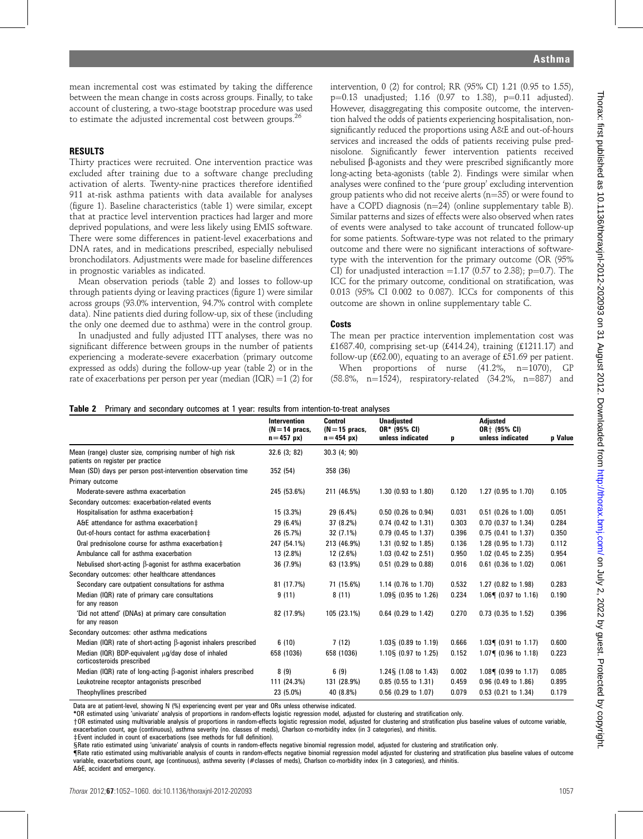mean incremental cost was estimated by taking the difference between the mean change in costs across groups. Finally, to take account of clustering, a two-stage bootstrap procedure was used to estimate the adjusted incremental cost between groups.<sup>26</sup>

#### RESULTS

Thirty practices were recruited. One intervention practice was excluded after training due to a software change precluding activation of alerts. Twenty-nine practices therefore identified 911 at-risk asthma patients with data available for analyses (figure 1). Baseline characteristics (table 1) were similar, except that at practice level intervention practices had larger and more deprived populations, and were less likely using EMIS software. There were some differences in patient-level exacerbations and DNA rates, and in medications prescribed, especially nebulised bronchodilators. Adjustments were made for baseline differences in prognostic variables as indicated.

Mean observation periods (table 2) and losses to follow-up through patients dying or leaving practices (figure 1) were similar across groups (93.0% intervention, 94.7% control with complete data). Nine patients died during follow-up, six of these (including the only one deemed due to asthma) were in the control group.

In unadjusted and fully adjusted ITT analyses, there was no significant difference between groups in the number of patients experiencing a moderate-severe exacerbation (primary outcome expressed as odds) during the follow-up year (table 2) or in the rate of exacerbations per person per year (median  $(IQR) = 1 (2)$  for

intervention, 0 (2) for control; RR (95% CI) 1.21 (0.95 to 1.55),  $p=0.13$  unadjusted; 1.16 (0.97 to 1.38),  $p=0.11$  adjusted). However, disaggregating this composite outcome, the intervention halved the odds of patients experiencing hospitalisation, nonsignificantly reduced the proportions using A&E and out-of-hours services and increased the odds of patients receiving pulse prednisolone. Significantly fewer intervention patients received nebulised b-agonists and they were prescribed significantly more long-acting beta-agonists (table 2). Findings were similar when analyses were confined to the 'pure group' excluding intervention group patients who did not receive alerts ( $n=35$ ) or were found to have a COPD diagnosis  $(n=24)$  (online supplementary table B). Similar patterns and sizes of effects were also observed when rates of events were analysed to take account of truncated follow-up for some patients. Software-type was not related to the primary outcome and there were no significant interactions of softwaretype with the intervention for the primary outcome (OR (95% CI) for unadjusted interaction =  $1.17$  (0.57 to 2.38); p=0.7). The ICC for the primary outcome, conditional on stratification, was 0.013 (95% CI 0.002 to 0.087). ICCs for components of this outcome are shown in online supplementary table C.

#### Costs

The mean per practice intervention implementation cost was £1687.40, comprising set-up (£414.24), training (£1211.17) and follow-up (£62.00), equating to an average of £51.69 per patient. When proportions of nurse  $(41.2\%, n=1070)$ , GP (58.8%, n=1524), respiratory-related (34.2%, n=887) and

|  |  |  |  |  |  |  |  | Table 2 Primary and secondary outcomes at 1 year: results from intention-to-treat analyses |  |
|--|--|--|--|--|--|--|--|--------------------------------------------------------------------------------------------|--|
|--|--|--|--|--|--|--|--|--------------------------------------------------------------------------------------------|--|

|                                                                                                | Intervention<br>$(N=14 \text{ pracs})$<br>$n = 457$ px) | Control<br>$(N=15$ pracs,<br>$n = 454$ px) | <b>Unadjusted</b><br>OR* (95% CI)<br>unless indicated | p     | <b>Adjusted</b><br>OR+ (95% CI)<br>unless indicated | p Value |
|------------------------------------------------------------------------------------------------|---------------------------------------------------------|--------------------------------------------|-------------------------------------------------------|-------|-----------------------------------------------------|---------|
| Mean (range) cluster size, comprising number of high risk<br>patients on register per practice | 32.6(3; 82)                                             | 30.3(4; 90)                                |                                                       |       |                                                     |         |
| Mean (SD) days per person post-intervention observation time                                   | 352 (54)                                                | 358 (36)                                   |                                                       |       |                                                     |         |
| Primary outcome                                                                                |                                                         |                                            |                                                       |       |                                                     |         |
| Moderate-severe asthma exacerbation                                                            | 245 (53.6%)                                             | 211 (46.5%)                                | 1.30 (0.93 to 1.80)                                   | 0.120 | 1.27 (0.95 to 1.70)                                 | 0.105   |
| Secondary outcomes: exacerbation-related events                                                |                                                         |                                            |                                                       |       |                                                     |         |
| Hospitalisation for asthma exacerbation‡                                                       | $15(3.3\%)$                                             | 29 (6.4%)                                  | 0.50 (0.26 to 0.94)                                   | 0.031 | 0.51 (0.26 to 1.00)                                 | 0.051   |
| A&E attendance for asthma exacerbation‡                                                        | 29 (6.4%)                                               | 37 (8.2%)                                  | $0.74$ (0.42 to 1.31)                                 | 0.303 | 0.70 (0.37 to 1.34)                                 | 0.284   |
| Out-of-hours contact for asthma exacerbation#                                                  | 26 (5.7%)                                               | 32 (7.1%)                                  | $0.79$ (0.45 to 1.37)                                 | 0.396 | $0.75$ (0.41 to 1.37)                               | 0.350   |
| Oral prednisolone course for asthma exacerbation‡                                              | 247 (54.1%)                                             | 213 (46.9%)                                | $1.31$ (0.92 to 1.85)                                 | 0.136 | 1.28 (0.95 to 1.73)                                 | 0.112   |
| Ambulance call for asthma exacerbation                                                         | 13 (2.8%)                                               | 12 (2.6%)                                  | 1.03 (0.42 to $2.51$ )                                | 0.950 | 1.02 (0.45 to 2.35)                                 | 0.954   |
| Nebulised short-acting $\beta$ -agonist for asthma exacerbation                                | 36 (7.9%)                                               | 63 (13.9%)                                 | $0.51$ (0.29 to 0.88)                                 | 0.016 | 0.61 (0.36 to 1.02)                                 | 0.061   |
| Secondary outcomes: other healthcare attendances                                               |                                                         |                                            |                                                       |       |                                                     |         |
| Secondary care outpatient consultations for asthma                                             | 81 (17.7%)                                              | 71 (15.6%)                                 | 1.14 (0.76 to 1.70)                                   | 0.532 | 1.27 (0.82 to 1.98)                                 | 0.283   |
| Median (IQR) rate of primary care consultations<br>for any reason                              | 9(11)                                                   | 8(11)                                      | 1.09§ (0.95 to 1.26)                                  | 0.234 | $1.06$ (0.97 to 1.16)                               | 0.190   |
| 'Did not attend' (DNAs) at primary care consultation<br>for any reason                         | 82 (17.9%)                                              | 105 (23.1%)                                | 0.64 (0.29 to 1.42)                                   | 0.270 | 0.73 (0.35 to 1.52)                                 | 0.396   |
| Secondary outcomes: other asthma medications                                                   |                                                         |                                            |                                                       |       |                                                     |         |
| Median (IQR) rate of short-acting $\beta$ -agonist inhalers prescribed                         | 6(10)                                                   | 7(12)                                      | 1.03§ (0.89 to 1.19)                                  | 0.666 | $1.03$ (0.91 to 1.17)                               | 0.600   |
| Median (IQR) BDP-equivalent $\mu$ q/day dose of inhaled<br>corticosteroids prescribed          | 658 (1036)                                              | 658 (1036)                                 | $1.10\$ (0.97 to 1.25)                                | 0.152 | $1.07$ (0.96 to 1.18)                               | 0.223   |
| Median (IQR) rate of long-acting $\beta$ -agonist inhalers prescribed                          | 8(9)                                                    | 6(9)                                       | 1.24§ (1.08 to 1.43)                                  | 0.002 | $1.08$ (0.99 to 1.17)                               | 0.085   |
| Leukotreine receptor antagonists prescribed                                                    | 111 (24.3%)                                             | 131 (28.9%)                                | $0.85$ (0.55 to 1.31)                                 | 0.459 | 0.96 (0.49 to 1.86)                                 | 0.895   |
| Theophyllines prescribed                                                                       | 23 (5.0%)                                               | 40 (8.8%)                                  | 0.56 (0.29 to 1.07)                                   | 0.079 | 0.53 (0.21 to 1.34)                                 | 0.179   |

Data are at patient-level, showing N (%) experiencing event per year and ORs unless otherwise indicated.

\*OR estimated using 'univariate' analysis of proportions in random-effects logistic regression model, adjusted for clustering and stratification only.

yOR estimated using multivariable analysis of proportions in random-effects logistic regression model, adjusted for clustering and stratification plus baseline values of outcome variable, exacerbation count, age (continuous), asthma severity (no. classes of meds), Charlson co-morbidity index (in 3 categories), and rhinitis.

zEvent included in count of exacerbations (see methods for full definition).

SRate ratio estimated using 'univariate' analysis of counts in random-effects negative binomial regression model, adjusted for clustering and stratification only.

{Rate ratio estimated using multivariable analysis of counts in random-effects negative binomial regression model adjusted for clustering and stratification plus baseline values of outcome variable, exacerbations count, age (continuous), asthma severity (#classes of meds), Charlson co-morbidity index (in 3 categories), and rhinitis.

A&E, accident and emergency.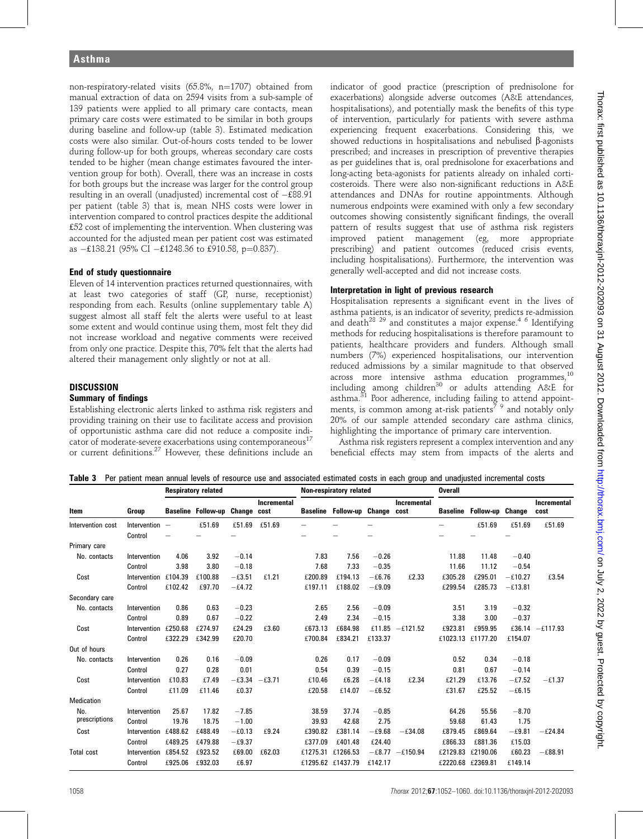non-respiratory-related visits (65.8%,  $n=1707$ ) obtained from manual extraction of data on 2594 visits from a sub-sample of 139 patients were applied to all primary care contacts, mean primary care costs were estimated to be similar in both groups during baseline and follow-up (table 3). Estimated medication costs were also similar. Out-of-hours costs tended to be lower during follow-up for both groups, whereas secondary care costs tended to be higher (mean change estimates favoured the intervention group for both). Overall, there was an increase in costs for both groups but the increase was larger for the control group resulting in an overall (unadjusted) incremental cost of -£88.91 per patient (table 3) that is, mean NHS costs were lower in intervention compared to control practices despite the additional £52 cost of implementing the intervention. When clustering was accounted for the adjusted mean per patient cost was estimated as  $-$ £138.21 (95% CI  $-$ £1248.36 to £910.58, p=0.837).

# End of study questionnaire

Eleven of 14 intervention practices returned questionnaires, with at least two categories of staff (GP, nurse, receptionist) responding from each. Results (online supplementary table A) suggest almost all staff felt the alerts were useful to at least some extent and would continue using them, most felt they did not increase workload and negative comments were received from only one practice. Despite this, 70% felt that the alerts had altered their management only slightly or not at all.

# **DISCUSSION**

#### Summary of findings

Establishing electronic alerts linked to asthma risk registers and providing training on their use to facilitate access and provision of opportunistic asthma care did not reduce a composite indicator of moderate-severe exacerbations using contemporaneous<sup>17</sup> or current definitions.27 However, these definitions include an

indicator of good practice (prescription of prednisolone for exacerbations) alongside adverse outcomes (A&E attendances, hospitalisations), and potentially mask the benefits of this type of intervention, particularly for patients with severe asthma experiencing frequent exacerbations. Considering this, we showed reductions in hospitalisations and nebulised  $\beta$ -agonists prescribed; and increases in prescription of preventive therapies as per guidelines that is, oral prednisolone for exacerbations and long-acting beta-agonists for patients already on inhaled corticosteroids. There were also non-significant reductions in A&E attendances and DNAs for routine appointments. Although numerous endpoints were examined with only a few secondary outcomes showing consistently significant findings, the overall pattern of results suggest that use of asthma risk registers improved patient management (eg, more appropriate prescribing) and patient outcomes (reduced crisis events, including hospitalisations). Furthermore, the intervention was generally well-accepted and did not increase costs.

## Interpretation in light of previous research

Hospitalisation represents a significant event in the lives of asthma patients, is an indicator of severity, predicts re-admission and death<sup>28 29</sup> and constitutes a major expense.<sup>4 6</sup> Identifying methods for reducing hospitalisations is therefore paramount to patients, healthcare providers and funders. Although small numbers (7%) experienced hospitalisations, our intervention reduced admissions by a similar magnitude to that observed across more intensive asthma education programmes,<sup>10</sup> including among children<sup>30</sup> or adults attending  $A \& E$  for asthma.<sup>31</sup> Poor adherence, including failing to attend appointments, is common among at-risk patients<sup>79</sup> and notably only 20% of our sample attended secondary care asthma clinics, highlighting the importance of primary care intervention.

Asthma risk registers represent a complex intervention and any beneficial effects may stem from impacts of the alerts and

|                   |                         | <b>Respiratory related</b> |                           |                       |                            | <b>Non-respiratory related</b> |                   |                       |                            | <b>Overall</b>  |                   |                        |                            |
|-------------------|-------------------------|----------------------------|---------------------------|-----------------------|----------------------------|--------------------------------|-------------------|-----------------------|----------------------------|-----------------|-------------------|------------------------|----------------------------|
| Item              | Group                   |                            | <b>Baseline Follow-up</b> | Change                | <b>Incremental</b><br>cost | <b>Baseline</b>                | Follow-up         | Change                | <b>Incremental</b><br>cost | <b>Baseline</b> | Follow-up         | Change                 | <b>Incremental</b><br>cost |
| Intervention cost | Intervention<br>Control | $\qquad \qquad -$          | £51.69                    | £51.69                | £51.69                     |                                |                   |                       |                            |                 | £51.69            | £51.69                 | £51.69                     |
| Primary care      |                         |                            |                           |                       |                            |                                |                   |                       |                            |                 |                   |                        |                            |
| No. contacts      | Intervention            | 4.06                       | 3.92                      | $-0.14$               |                            | 7.83                           | 7.56              | $-0.26$               |                            | 11.88           | 11.48             | $-0.40$                |                            |
|                   | Control                 | 3.98                       | 3.80                      | $-0.18$               |                            | 7.68                           | 7.33              | $-0.35$               |                            | 11.66           | 11.12             | $-0.54$                |                            |
| Cost              | Intervention            | £104.39                    | £100.88                   | $-\text{\pounds}3.51$ | £1.21                      | £200.89                        | £194.13           | $-£6.76$              | £2.33                      | £305.28         | £295.01           | $-\text{\pounds}10.27$ | £3.54                      |
|                   | Control                 | £102.42                    | £97.70                    | $-£4.72$              |                            | £197.11                        | £188.02           | $-\text{\pounds}9.09$ |                            | £299.54         | £285.73           | $-E13.81$              |                            |
| Secondary care    |                         |                            |                           |                       |                            |                                |                   |                       |                            |                 |                   |                        |                            |
| No. contacts      | Intervention            | 0.86                       | 0.63                      | $-0.23$               |                            | 2.65                           | 2.56              | $-0.09$               |                            | 3.51            | 3.19              | $-0.32$                |                            |
|                   | Control                 | 0.89                       | 0.67                      | $-0.22$               |                            | 2.49                           | 2.34              | $-0.15$               |                            | 3.38            | 3.00              | $-0.37$                |                            |
| Cost              | Intervention            | £250.68                    | £274.97                   | £24.29                | £3.60                      | £673.13                        | £684.98           | £11.85                | $-E121.52$                 | £923.81         | £959.95           | £36.14                 | $-E117.93$                 |
|                   | Control                 | £322.29                    | £342.99                   | £20.70                |                            | £700.84                        | £834.21           | £133.37               |                            |                 | £1023.13 £1177.20 | £154.07                |                            |
| Out of hours      |                         |                            |                           |                       |                            |                                |                   |                       |                            |                 |                   |                        |                            |
| No. contacts      | Intervention            | 0.26                       | 0.16                      | $-0.09$               |                            | 0.26                           | 0.17              | $-0.09$               |                            | 0.52            | 0.34              | $-0.18$                |                            |
|                   | Control                 | 0.27                       | 0.28                      | 0.01                  |                            | 0.54                           | 0.39              | $-0.15$               |                            | 0.81            | 0.67              | $-0.14$                |                            |
| Cost              | Intervention            | £10.83                     | £7.49                     | $-\text{\pounds}3.34$ | $-\text{\pounds}3.71$      | £10.46                         | £6.28             | $-£4.18$              | £2.34                      | £21.29          | £13.76            | $-\text{\pounds}7.52$  | $-\text{\pounds}1.37$      |
|                   | Control                 | £11.09                     | £11.46                    | £0.37                 |                            | £20.58                         | £14.07            | $-£6.52$              |                            | £31.67          | £25.52            | $-£6.15$               |                            |
| Medication        |                         |                            |                           |                       |                            |                                |                   |                       |                            |                 |                   |                        |                            |
| No.               | Intervention            | 25.67                      | 17.82                     | $-7.85$               |                            | 38.59                          | 37.74             | $-0.85$               |                            | 64.26           | 55.56             | $-8.70$                |                            |
| prescriptions     | Control                 | 19.76                      | 18.75                     | $-1.00$               |                            | 39.93                          | 42.68             | 2.75                  |                            | 59.68           | 61.43             | 1.75                   |                            |
| Cost              | Intervention            | £488.62                    | £488.49                   | $-£0.13$              | £9.24                      | £390.82                        | £381.14           | $-\text{\pounds}9.68$ | $-\text{\pounds}34.08$     | £879.45         | £869.64           | $-£9.81$               | $-E24.84$                  |
|                   | Control                 | £489.25                    | £479.88                   | $-\text{\pounds}9.37$ |                            | £377.09                        | £401.48           | £24.40                |                            | £866.33         | £881.36           | £15.03                 |                            |
| <b>Total cost</b> | Intervention            | £854.52                    | £923.52                   | £69.00                | £62.03                     | £1275.31                       | £1266.53          | $-£8.77$              | $-£150.94$                 | £2129.83        | £2190.06          | £60.23                 | $-\text{\pounds}88.91$     |
|                   | Control                 | £925.06                    | £932.03                   | £6.97                 |                            |                                | £1295.62 £1437.79 | £142.17               |                            |                 | £2220.68 £2369.81 | £149.14                |                            |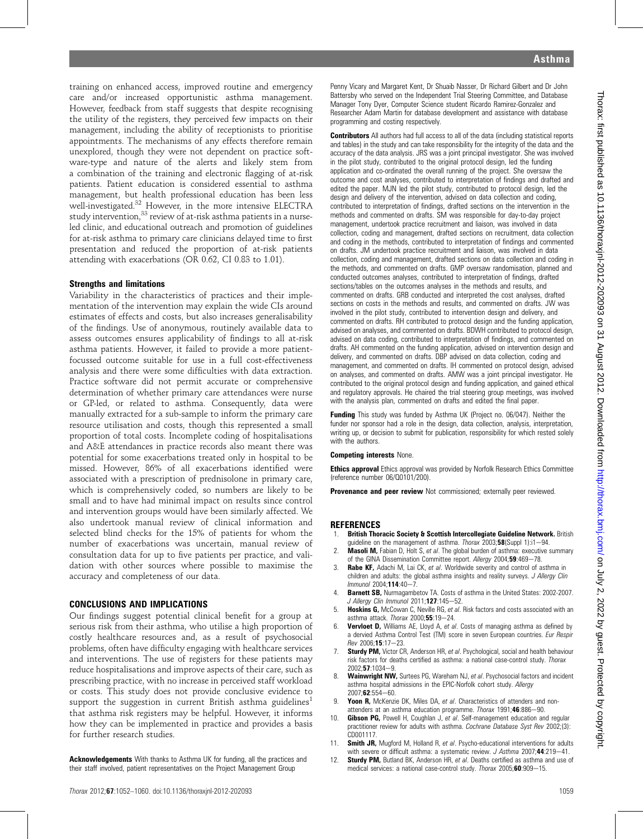training on enhanced access, improved routine and emergency care and/or increased opportunistic asthma management. However, feedback from staff suggests that despite recognising the utility of the registers, they perceived few impacts on their management, including the ability of receptionists to prioritise appointments. The mechanisms of any effects therefore remain unexplored, though they were not dependent on practice software-type and nature of the alerts and likely stem from a combination of the training and electronic flagging of at-risk patients. Patient education is considered essential to asthma management, but health professional education has been less well-investigated.<sup>32</sup> However, in the more intensive ELECTRA study intervention,<sup>33</sup> review of at-risk asthma patients in a nurseled clinic, and educational outreach and promotion of guidelines for at-risk asthma to primary care clinicians delayed time to first presentation and reduced the proportion of at-risk patients attending with exacerbations (OR 0.62, CI 0.83 to 1.01).

#### Strengths and limitations

Variability in the characteristics of practices and their implementation of the intervention may explain the wide CIs around estimates of effects and costs, but also increases generalisability of the findings. Use of anonymous, routinely available data to assess outcomes ensures applicability of findings to all at-risk asthma patients. However, it failed to provide a more patientfocussed outcome suitable for use in a full cost-effectiveness analysis and there were some difficulties with data extraction. Practice software did not permit accurate or comprehensive determination of whether primary care attendances were nurse or GP-led, or related to asthma. Consequently, data were manually extracted for a sub-sample to inform the primary care resource utilisation and costs, though this represented a small proportion of total costs. Incomplete coding of hospitalisations and A&E attendances in practice records also meant there was potential for some exacerbations treated only in hospital to be missed. However, 86% of all exacerbations identified were associated with a prescription of prednisolone in primary care, which is comprehensively coded, so numbers are likely to be small and to have had minimal impact on results since control and intervention groups would have been similarly affected. We also undertook manual review of clinical information and selected blind checks for the 15% of patients for whom the number of exacerbations was uncertain, manual review of consultation data for up to five patients per practice, and validation with other sources where possible to maximise the accuracy and completeness of our data.

#### CONCLUSIONS AND IMPLICATIONS

Our findings suggest potential clinical benefit for a group at serious risk from their asthma, who utilise a high proportion of costly healthcare resources and, as a result of psychosocial problems, often have difficulty engaging with healthcare services and interventions. The use of registers for these patients may reduce hospitalisations and improve aspects of their care, such as prescribing practice, with no increase in perceived staff workload or costs. This study does not provide conclusive evidence to support the suggestion in current British asthma guidelines<sup>1</sup> that asthma risk registers may be helpful. However, it informs how they can be implemented in practice and provides a basis for further research studies.

Acknowledgements With thanks to Asthma UK for funding, all the practices and their staff involved, patient representatives on the Project Management Group

Penny Vicary and Margaret Kent, Dr Shuaib Nasser, Dr Richard Gilbert and Dr John Battersby who served on the Independent Trial Steering Committee, and Database Manager Tony Dyer, Computer Science student Ricardo Ramirez-Gonzalez and Researcher Adam Martin for database development and assistance with database programming and costing respectively.

**Contributors** All authors had full access to all of the data (including statistical reports and tables) in the study and can take responsibility for the integrity of the data and the accuracy of the data analysis. JRS was a joint principal investigator. She was involved in the pilot study, contributed to the original protocol design, led the funding application and co-ordinated the overall running of the project. She oversaw the outcome and cost analyses, contributed to interpretation of findings and drafted and edited the paper. MJN led the pilot study, contributed to protocol design, led the design and delivery of the intervention, advised on data collection and coding, contributed to interpretation of findings, drafted sections on the intervention in the methods and commented on drafts. SM was responsible for day-to-day project management, undertook practice recruitment and liaison, was involved in data collection, coding and management, drafted sections on recruitment, data collection and coding in the methods, contributed to interpretation of findings and commented on drafts. JM undertook practice recruitment and liaison, was involved in data collection, coding and management, drafted sections on data collection and coding in the methods, and commented on drafts. GMP oversaw randomisation, planned and conducted outcomes analyses, contributed to interpretation of findings, drafted sections/tables on the outcomes analyses in the methods and results, and commented on drafts. GRB conducted and interpreted the cost analyses, drafted sections on costs in the methods and results, and commented on drafts. JW was involved in the pilot study, contributed to intervention design and delivery, and commented on drafts. RH contributed to protocol design and the funding application, advised on analyses, and commented on drafts. BDWH contributed to protocol design, advised on data coding, contributed to interpretation of findings, and commented on drafts. AH commented on the funding application, advised on intervention design and delivery, and commented on drafts. DBP advised on data collection, coding and management, and commented on drafts. IH commented on protocol design, advised on analyses, and commented on drafts. AMW was a joint principal investigator. He contributed to the original protocol design and funding application, and gained ethical and regulatory approvals. He chaired the trial steering group meetings, was involved with the analysis plan, commented on drafts and edited the final paper.

Funding This study was funded by Asthma UK (Project no. 06/047). Neither the funder nor sponsor had a role in the design, data collection, analysis, interpretation, writing up, or decision to submit for publication, responsibility for which rested solely with the authors.

#### Competing interests None.

**Ethics approval** Ethics approval was provided by Norfolk Research Ethics Committee (reference number 06/Q0101/200).

Provenance and peer review Not commissioned; externally peer reviewed.

#### **REFERENCES**

- British Thoracic Society & Scottish Intercollegiate Guideline Network. British guideline on the management of asthma. Thorax 2003;58(Suppl 1):i1-94.
- 2. **Masoli M,** Fabian D, Holt S, et al. The global burden of asthma: executive summary of the GINA Dissemination Committee report. Allergy 2004;59:469-78.
- 3. Rabe KF, Adachi M, Lai CK, et al. Worldwide severity and control of asthma in children and adults: the global asthma insights and reality surveys. J Allergy Clin  $Immunol$  2004;114:40-7.
- 4. **Barnett SB,** Nurmagambetov TA. Costs of asthma in the United States: 2002-2007. J Allergy Clin Immunol 2011;127:145-52.
- 5. **Hoskins G,** McCowan C, Neville RG, et al. Risk factors and costs associated with an asthma attack. Thorax  $2000;55:19-24$ .
- 6. Vervloet D, Williams AE, Lloyd A, et al. Costs of managing asthma as defined by a dervied Asthma Control Test (TM) score in seven European countries. Eur Respir  $Rev 2006:15:17-23.$
- Sturdy PM, Victor CR, Anderson HR, et al. Psychological, social and health behaviour risk factors for deaths certified as asthma: a national case-control study. Thorax 2002;57:1034-9.
- 8. Wainwright NW, Surtees PG, Wareham NJ, et al. Psychosocial factors and incident asthma hospital admissions in the EPIC-Norfolk cohort study. Allergy  $2007;62:554-60.$
- Yoon R, McKenzie DK, Miles DA, et al. Characteristics of attenders and nonattenders at an asthma education programme. Thorax  $1991;46:886-90$ .
- 10. Gibson PG, Powell H, Coughlan J, et al. Self-management education and regular practitioner review for adults with asthma. Cochrane Database Syst Rev 2002;(3): CD001117.
- 11. **Smith JR,** Mugford M, Holland R, et al. Psycho-educational interventions for adults with severe or difficult asthma: a systematic review. J Asthma 2007:44:219-41.
- 12. **Sturdy PM,** Butland BK, Anderson HR, et al. Deaths certified as asthma and use of medical services: a national case-control study. Thorax 2005;60:909-15.